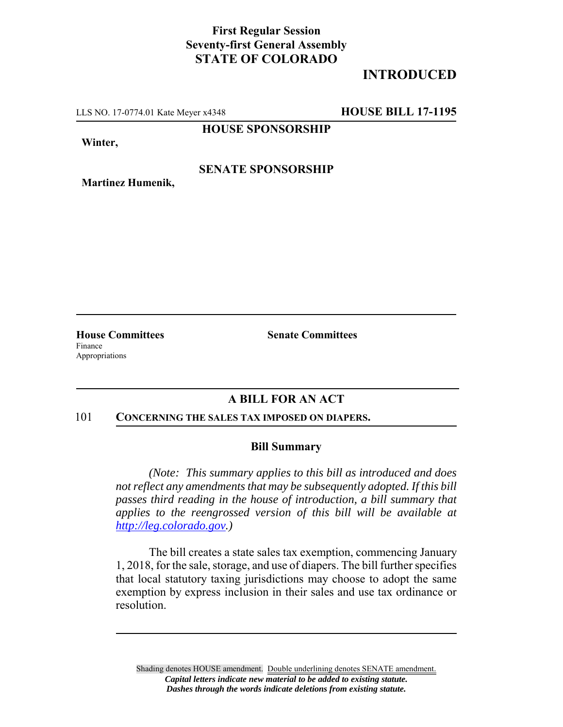## **First Regular Session Seventy-first General Assembly STATE OF COLORADO**

# **INTRODUCED**

LLS NO. 17-0774.01 Kate Meyer x4348 **HOUSE BILL 17-1195**

**HOUSE SPONSORSHIP**

**Winter,**

**Martinez Humenik,**

#### **SENATE SPONSORSHIP**

Finance Appropriations

**House Committees Senate Committees** 

### **A BILL FOR AN ACT**

#### 101 **CONCERNING THE SALES TAX IMPOSED ON DIAPERS.**

#### **Bill Summary**

*(Note: This summary applies to this bill as introduced and does not reflect any amendments that may be subsequently adopted. If this bill passes third reading in the house of introduction, a bill summary that applies to the reengrossed version of this bill will be available at http://leg.colorado.gov.)*

The bill creates a state sales tax exemption, commencing January 1, 2018, for the sale, storage, and use of diapers. The bill further specifies that local statutory taxing jurisdictions may choose to adopt the same exemption by express inclusion in their sales and use tax ordinance or resolution.

Shading denotes HOUSE amendment. Double underlining denotes SENATE amendment. *Capital letters indicate new material to be added to existing statute. Dashes through the words indicate deletions from existing statute.*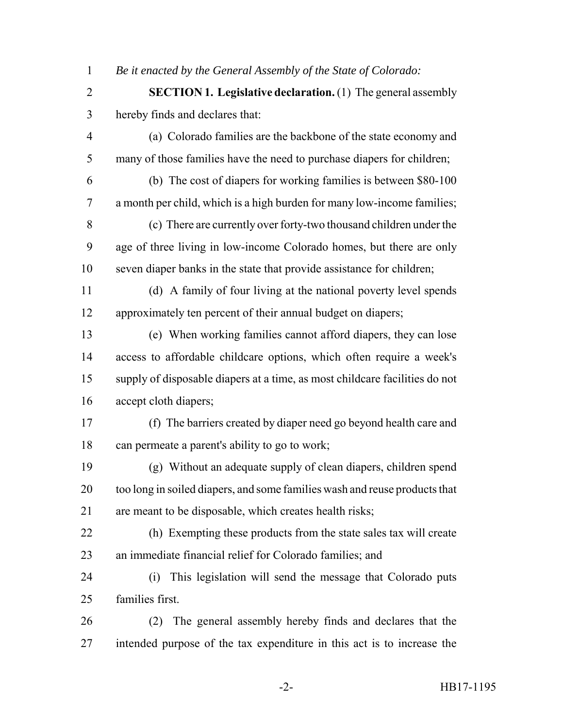*Be it enacted by the General Assembly of the State of Colorado:*

 **SECTION 1. Legislative declaration.** (1) The general assembly hereby finds and declares that:

 (a) Colorado families are the backbone of the state economy and many of those families have the need to purchase diapers for children;

 (b) The cost of diapers for working families is between \$80-100 a month per child, which is a high burden for many low-income families;

 (c) There are currently over forty-two thousand children under the age of three living in low-income Colorado homes, but there are only seven diaper banks in the state that provide assistance for children;

 (d) A family of four living at the national poverty level spends approximately ten percent of their annual budget on diapers;

 (e) When working families cannot afford diapers, they can lose access to affordable childcare options, which often require a week's supply of disposable diapers at a time, as most childcare facilities do not accept cloth diapers;

 (f) The barriers created by diaper need go beyond health care and can permeate a parent's ability to go to work;

 (g) Without an adequate supply of clean diapers, children spend too long in soiled diapers, and some families wash and reuse products that are meant to be disposable, which creates health risks;

- (h) Exempting these products from the state sales tax will create an immediate financial relief for Colorado families; and
- (i) This legislation will send the message that Colorado puts families first.
- (2) The general assembly hereby finds and declares that the intended purpose of the tax expenditure in this act is to increase the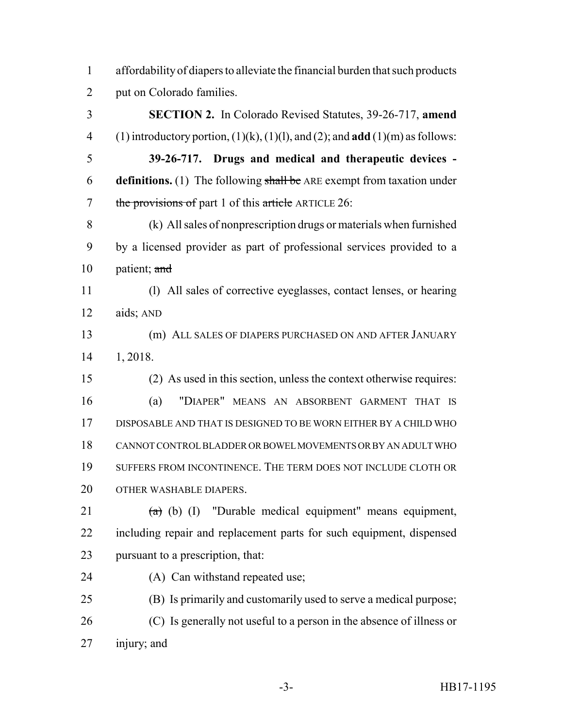| affordability of diapers to alleviate the financial burden that such products |
|-------------------------------------------------------------------------------|
| put on Colorado families.                                                     |

 **SECTION 2.** In Colorado Revised Statutes, 39-26-717, **amend** (1) introductory portion, (1)(k), (1)(l), and (2); and **add** (1)(m) as follows: **39-26-717. Drugs and medical and therapeutic devices - definitions.** (1) The following shall be ARE exempt from taxation under 7 the provisions of part 1 of this article ARTICLE 26: (k) All sales of nonprescription drugs or materials when furnished by a licensed provider as part of professional services provided to a 10 patient; and (l) All sales of corrective eyeglasses, contact lenses, or hearing aids; AND (m) ALL SALES OF DIAPERS PURCHASED ON AND AFTER JANUARY 1, 2018. (2) As used in this section, unless the context otherwise requires: (a) "DIAPER" MEANS AN ABSORBENT GARMENT THAT IS DISPOSABLE AND THAT IS DESIGNED TO BE WORN EITHER BY A CHILD WHO CANNOT CONTROL BLADDER OR BOWEL MOVEMENTS OR BY AN ADULT WHO SUFFERS FROM INCONTINENCE. THE TERM DOES NOT INCLUDE CLOTH OR 20 OTHER WASHABLE DIAPERS.  $(a)$  (b) (I) "Durable medical equipment" means equipment, including repair and replacement parts for such equipment, dispensed pursuant to a prescription, that: (A) Can withstand repeated use; (B) Is primarily and customarily used to serve a medical purpose;

 (C) Is generally not useful to a person in the absence of illness or injury; and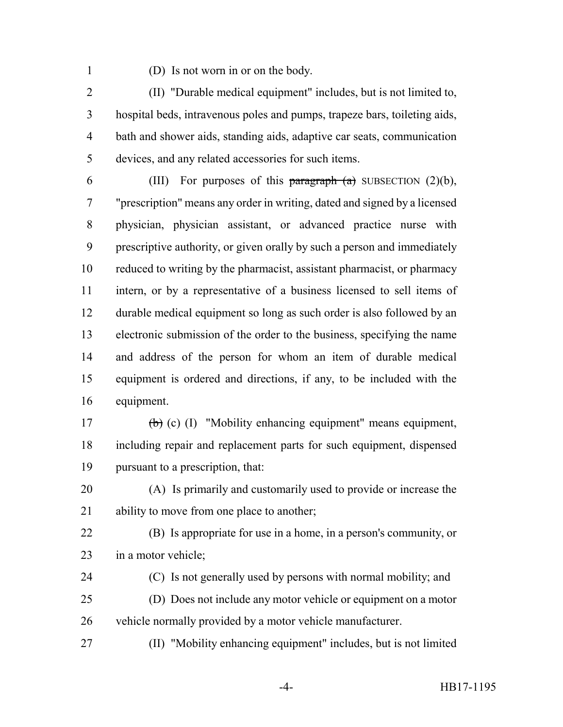(D) Is not worn in or on the body.

 (II) "Durable medical equipment" includes, but is not limited to, hospital beds, intravenous poles and pumps, trapeze bars, toileting aids, bath and shower aids, standing aids, adaptive car seats, communication devices, and any related accessories for such items.

6 (III) For purposes of this  $\frac{\partial f}{\partial x}$  (a) SUBSECTION (2)(b), "prescription" means any order in writing, dated and signed by a licensed physician, physician assistant, or advanced practice nurse with prescriptive authority, or given orally by such a person and immediately reduced to writing by the pharmacist, assistant pharmacist, or pharmacy intern, or by a representative of a business licensed to sell items of durable medical equipment so long as such order is also followed by an electronic submission of the order to the business, specifying the name and address of the person for whom an item of durable medical equipment is ordered and directions, if any, to be included with the equipment.

 (b) (c) (I) "Mobility enhancing equipment" means equipment, including repair and replacement parts for such equipment, dispensed pursuant to a prescription, that:

 (A) Is primarily and customarily used to provide or increase the 21 ability to move from one place to another;

 (B) Is appropriate for use in a home, in a person's community, or in a motor vehicle;

 (C) Is not generally used by persons with normal mobility; and (D) Does not include any motor vehicle or equipment on a motor

vehicle normally provided by a motor vehicle manufacturer.

(II) "Mobility enhancing equipment" includes, but is not limited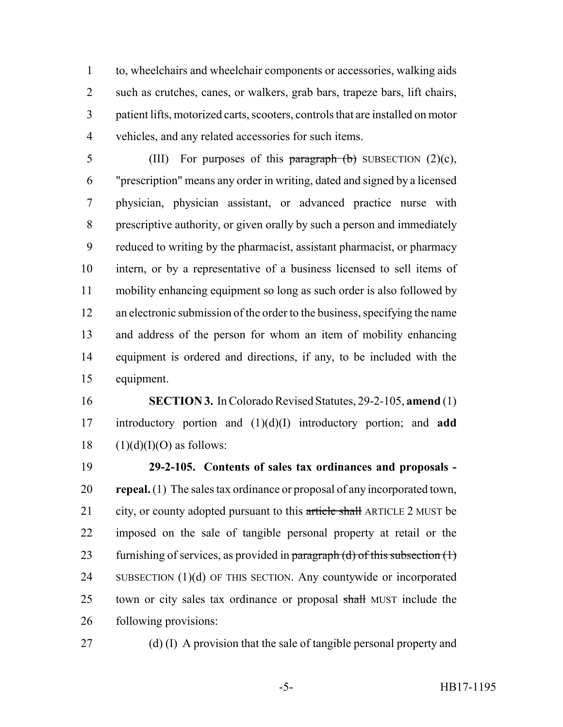to, wheelchairs and wheelchair components or accessories, walking aids such as crutches, canes, or walkers, grab bars, trapeze bars, lift chairs, patient lifts, motorized carts, scooters, controls that are installed on motor vehicles, and any related accessories for such items.

5 (III) For purposes of this paragraph  $(b)$  SUBSECTION  $(2)(c)$ , "prescription" means any order in writing, dated and signed by a licensed physician, physician assistant, or advanced practice nurse with prescriptive authority, or given orally by such a person and immediately reduced to writing by the pharmacist, assistant pharmacist, or pharmacy intern, or by a representative of a business licensed to sell items of mobility enhancing equipment so long as such order is also followed by an electronic submission of the order to the business, specifying the name and address of the person for whom an item of mobility enhancing equipment is ordered and directions, if any, to be included with the equipment.

 **SECTION 3.** In Colorado Revised Statutes, 29-2-105, **amend** (1) introductory portion and (1)(d)(I) introductory portion; and **add** 18  $(1)(d)(I)(O)$  as follows:

 **29-2-105. Contents of sales tax ordinances and proposals - repeal.** (1) The sales tax ordinance or proposal of any incorporated town, 21 city, or county adopted pursuant to this article shall ARTICLE 2 MUST be imposed on the sale of tangible personal property at retail or the 23 furnishing of services, as provided in paragraph (d) of this subsection  $(1)$  SUBSECTION (1)(d) OF THIS SECTION. Any countywide or incorporated 25 town or city sales tax ordinance or proposal shall MUST include the following provisions:

(d) (I) A provision that the sale of tangible personal property and